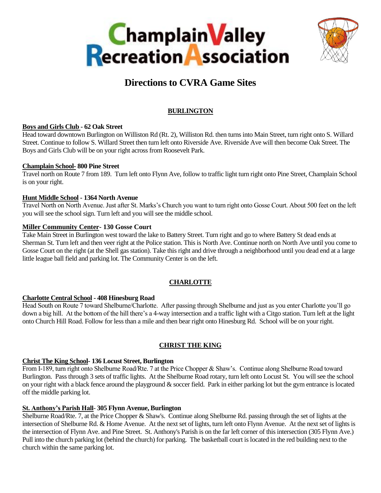



# **Directions to CVRA Game Sites**

# **BURLINGTON**

# **Boys and Girls Club - 62 Oak Street**

Head toward downtown Burlington on Williston Rd (Rt. 2), Williston Rd. then turns into Main Street, turn right onto S. Willard Street. Continue to follow S. Willard Street then turn left onto Riverside Ave. Riverside Ave will then become Oak Street. The Boys and Girls Club will be on your right across from Roosevelt Park.

# **Champlain School- 800 Pine Street**

Travel north on Route 7 from 189. Turn left onto Flynn Ave, follow to traffic light turn right onto Pine Street, Champlain School is on your right.

# **Hunt Middle School - 1364 North Avenue**

Travel North on North Avenue. Just after St. Marks's Church you want to turn right onto Gosse Court. About 500 feet on the left you will see the school sign. Turn left and you will see the middle school.

# **Miller Community Center- 130 Gosse Court**

Take Main Street in Burlington west toward the lake to Battery Street. Turn right and go to where Battery St dead ends at Sherman St. Turn left and then veer right at the Police station. This is North Ave. Continue north on North Ave until you come to Gosse Court on the right (at the Shell gas station). Take this right and drive through a neighborhood until you dead end at a large little league ball field and parking lot. The Community Center is on the left.

# **CHARLOTTE**

# **Charlotte Central School - 408 Hinesburg Road**

Head South on Route 7 toward Shelburne/Charlotte. After passing through Shelburne and just as you enter Charlotte you'll go down a big hill. At the bottom of the hill there's a 4-way intersection and a traffic light with a Citgo station. Turn left at the light onto Church Hill Road. Follow for less than a mile and then bear right onto Hinesburg Rd. School will be on your right.

# **CHRIST THE KING**

# **Christ The King School- 136 Locust Street, Burlington**

From I-189, turn right onto Shelburne Road/Rte. 7 at the Price Chopper & Shaw's. Continue along Shelburne Road toward Burlington. Pass through 3 sets of traffic lights. At the Shelburne Road rotary, turn left onto Locust St. You will see the school on your right with a black fence around the playground & soccer field. Park in either parking lot but the gym entrance is located off the middle parking lot.

# **St. Anthony's Parish Hall**- **305 Flynn Avenue, Burlington**

Shelburne Road/Rte. 7, at the Price Chopper & Shaw's. Continue along Shelburne Rd. passing through the set of lights at the intersection of Shelburne Rd. & Home Avenue. At the next set of lights, turn left onto Flynn Avenue. At the next set of lights is the intersection of Flynn Ave. and Pine Street. St. Anthony's Parish is on the far left corner of this intersection (305 Flynn Ave.) Pull into the church parking lot (behind the church) for parking. The basketball court is located in the red building next to the church within the same parking lot.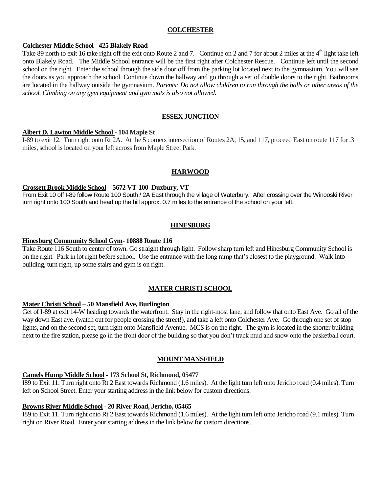#### **COLCHESTER**

#### **Colchester Middle School - 425 Blakely Road**

Take 89 north to exit 16 take right off the exit onto Route 2 and 7. Continue on 2 and 7 for about 2 miles at the  $4<sup>th</sup>$  light take left onto Blakely Road. The Middle School entrance will be the first right after Colchester Rescue. Continue left until the second school on the right. Enter the school through the side door off from the parking lot located next to the gymnasium. You will see the doors as you approach the school. Continue down the hallway and go through a set of double doors to the right. Bathrooms are located in the hallway outside the gymnasium. *Parents: Do not allow children to run through the halls or other areas of the school. Climbing on any gym equipment and gym mats is also not allowed.*

# **ESSEX JUNCTION**

#### **Albert D. Lawton Middle School - 104 Maple St**

I-89 to exit 12. Turn right onto Rt 2A. At the 5 corners intersection of Routes 2A, 15, and 117, proceed East on route 117 for .3 miles, school is located on your left across from Maple Street Park.

#### **HARWOOD**

#### **Crossett Brook Middle School – 5672 VT-100 Duxbury, VT**

From Exit 10 off I-89 follow Route 100 South / 2A East through the village of Waterbury. After crossing over the Winooski River turn right onto 100 South and head up the hill approx. 0.7 miles to the entrance of the school on your left.

#### **HINESBURG**

#### **Hinesburg Community School Gym**- **10888 Route 116**

Take Route 116 South to center of town. Go straight through light. Follow sharp turn left and Hinesburg Community School is on the right. Park in lot right before school. Use the entrance with the long ramp that's closest to the playground. Walk into building, turn right, up some stairs and gym is on right.

## **MATER CHRISTI SCHOOL**

#### **Mater Christi School – 50 Mansfield Ave, Burlington**

Get of I-89 at exit 14-W heading towards the waterfront. Stay in the right-most lane, and follow that onto East Ave. Go all of the way down East ave. (watch out for people crossing the street!), and take a left onto Colchester Ave. Go through one set of stop lights, and on the second set, turn right onto Mansfield Avenue. MCS is on the right. The gym is located in the shorter building next to the fire station, please go in the front door of the building so that you don't track mud and snow onto the basketball court.

#### **MOUNT MANSFIELD**

#### **Camels Hump Middle School - 173 School St, Richmond, 05477**

I89 to Exit 11. Turn right onto Rt 2 East towards Richmond (1.6 miles). At the light turn left onto Jericho road (0.4 miles). Turn left on School Street. Enter your starting address in the link below for custom directions.

#### **Browns River Middle School** - **20 River Road, Jericho, 05465**

I89 to Exit 11. Turn right onto Rt 2 East towards Richmond (1.6 miles). At the light turn left onto Jericho road (9.1 miles). Turn right on River Road. Enter your starting address in the link below for custom directions.